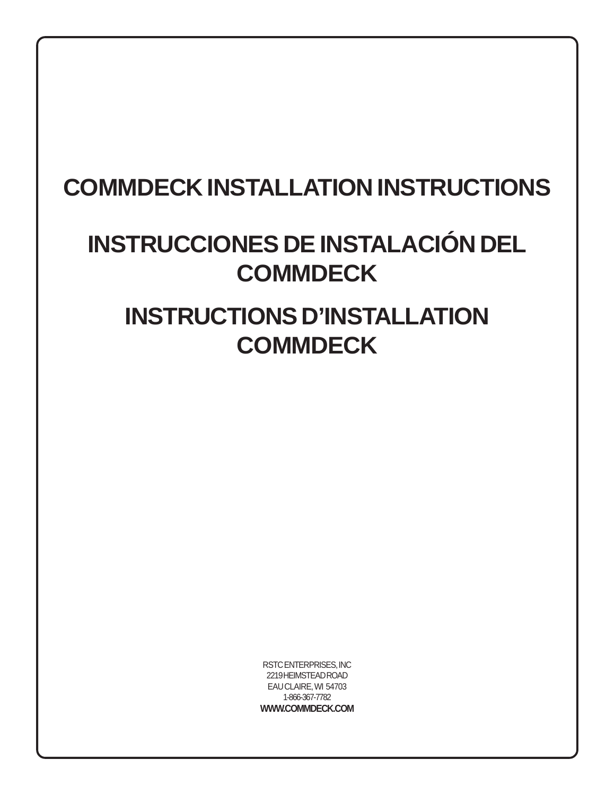# **COMMDECK INSTALLATION INSTRUCTIONS**

# **INSTRUCCIONES DE INSTALACIÓN DEL COMMDECK**

# **INSTRUCTIONS D'INSTALLATION COMMDECK**

RSTC ENTERPRISES, INC 2219 HEIMSTEAD ROAD EAU CLAIRE, WI 54703 1-866-367-7782 **WWW.COMMDECK.COM**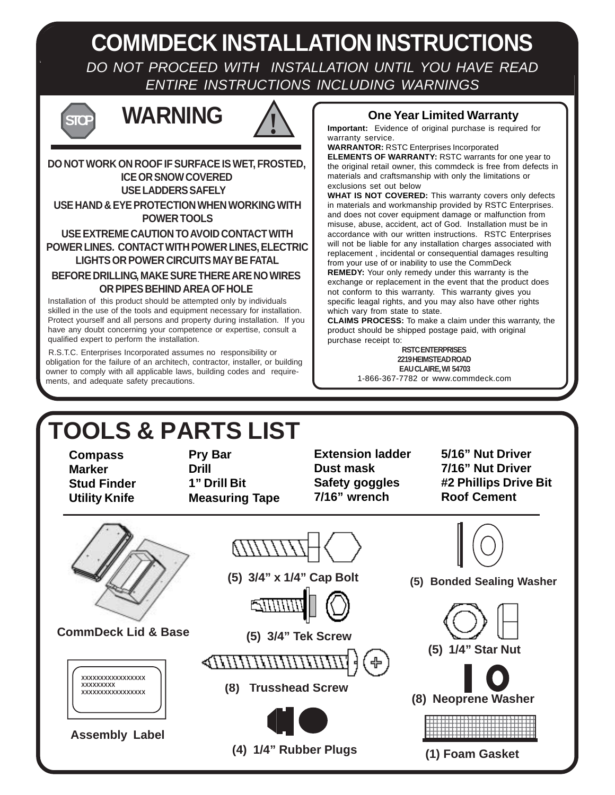**COMMDECK INSTALLATION INSTRUCTIONS** DO NOT PROCEED WITH INSTALLATION UNTIL YOU HAVE READ ENTIRE INSTRUCTIONS INCLUDING WARNINGS



# **WARNING ! STOP**



#### **USE LADDERS SAFELY DO NOT WORK ON ROOF IF SURFACE IS WET, FROSTED, ICE OR SNOW COVERED USE HAND & EYE PROTECTION WHEN WORKING WITH**

**POWER TOOLS**

#### **USE EXTREME CAUTION TO AVOID CONTACT WITH POWER LINES. CONTACT WITH POWER LINES, ELECTRIC LIGHTS OR POWER CIRCUITS MAY BE FATAL**

#### **BEFORE DRILLING, MAKE SURE THERE ARE NO WIRES OR PIPES BEHIND AREA OF HOLE**

Installation of this product should be attempted only by individuals skilled in the use of the tools and equipment necessary for installation. Protect yourself and all persons and property during installation. If you have any doubt concerning your competence or expertise, consult a qualified expert to perform the installation.

 R.S.T.C. Enterprises Incorporated assumes no responsibility or obligation for the failure of an architech, contractor, installer, or building owner to comply with all applicable laws, building codes and requirements, and adequate safety precautions.

#### **One Year Limited Warranty**

**Important:** Evidence of original purchase is required for warranty service.

**WARRANTOR:** RSTC Enterprises Incorporated **ELEMENTS OF WARRANTY:** RSTC warrants for one year to the original retail owner, this commdeck is free from defects in materials and craftsmanship with only the limitations or exclusions set out below

**WHAT IS NOT COVERED:** This warranty covers only defects in materials and workmanship provided by RSTC Enterprises. and does not cover equipment damage or malfunction from misuse, abuse, accident, act of God. Installation must be in accordance with our written instructions. RSTC Enterprises will not be liable for any installation charges associated with replacement , incidental or consequential damages resulting from your use of or inability to use the CommDeck

**REMEDY:** Your only remedy under this warranty is the exchange or replacement in the event that the product does not conform to this warranty. This warranty gives you specific leagal rights, and you may also have other rights which vary from state to state.

**CLAIMS PROCESS:** To make a claim under this warranty, the product should be shipped postage paid, with original purchase receipt to:

**RSTC ENTERPRISES 2219 HEIMSTEAD ROAD EAU CLAIRE, WI 54703**

1-866-367-7782 or www.commdeck.com

# **TOOLS & PARTS LIST**

**Compass Marker Stud Finder Utility Knife**

**Pry Bar Drill 1" Drill Bit Measuring Tape**

**Extension ladder Dust mask Safety goggles 7/16" wrench**

**5/16" Nut Driver 7/16" Nut Driver #2 Phillips Drive Bit Roof Cement**

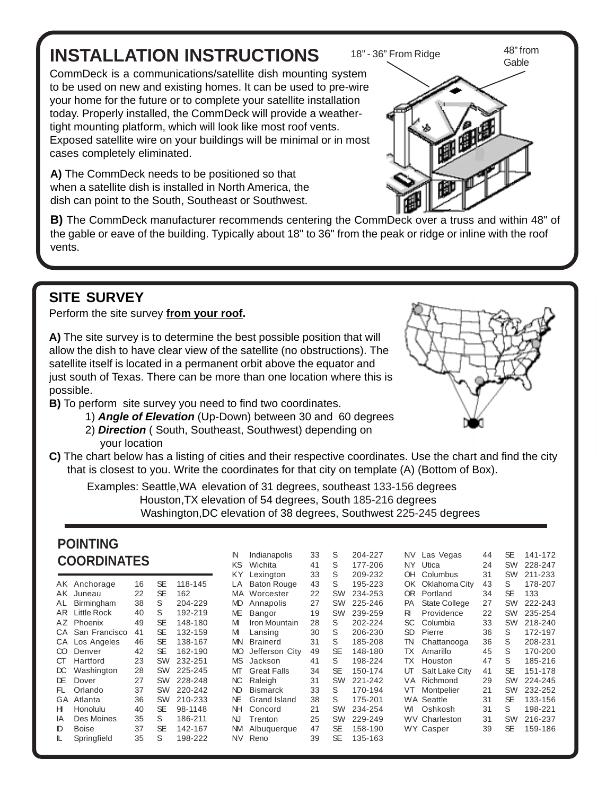# **INSTALLATION INSTRUCTIONS**

CommDeck is a communications/satellite dish mounting system to be used on new and existing homes. It can be used to pre-wire your home for the future or to complete your satellite installation today. Properly installed, the CommDeck will provide a weathertight mounting platform, which will look like most roof vents. Exposed satellite wire on your buildings will be minimal or in most cases completely eliminated.

**A)** The CommDeck needs to be positioned so that when a satellite dish is installed in North America, the dish can point to the South, Southeast or Southwest.

**B)** The CommDeck manufacturer recommends centering the CommDeck over a truss and within 48" of the gable or eave of the building. Typically about 18" to 36" from the peak or ridge or inline with the roof vents.

## **SITE SURVEY**

Perform the site survey **from your roof.**

**A)** The site survey is to determine the best possible position that will allow the dish to have clear view of the satellite (no obstructions). The satellite itself is located in a permanent orbit above the equator and just south of Texas. There can be more than one location where this is possible.

- **B)** To perform site survey you need to find two coordinates.
	- 1) **Angle of Elevation** (Up-Down) between 30 and 60 degrees
	- 2) **Direction** ( South, Southeast, Southwest) depending on your location
- **C)** The chart below has a listing of cities and their respective coordinates. Use the chart and find the city that is closest to you. Write the coordinates for that city on template (A) (Bottom of Box).

Examples: Seattle,WA elevation of 31 degrees, southeast 133-156 degrees Houston,TX elevation of 54 degrees, South 185-216 degrees Washington,DC elevation of 38 degrees, Southwest 225-245 degrees

#### **POINTING COORDINATES**

| AK  | Anchorage     | 16 | SE | 118-145 |
|-----|---------------|----|----|---------|
| AK  | Juneau        | 22 | SE | 162     |
| AL  | Birmingham    | 38 | S  | 204-229 |
| AR  | Little Rock   | 40 | S  | 192-219 |
| ΑZ  | Phoenix       | 49 | SE | 148-180 |
| CА  | San Francisco | 41 | SE | 132-159 |
| CА  | Los Angeles   | 46 | SE | 138-167 |
| CO  | Denver        | 42 | SE | 162-190 |
| CТ  | Hartford      | 23 | SW | 232-251 |
| DС  | Washington    | 28 | SW | 225-245 |
| DF  | Dover         | 27 | SW | 228-248 |
| FL. | Orlando       | 37 | SW | 220-242 |
| GA  | Atlanta       | 36 | SW | 210-233 |
| н   | Honolulu      | 40 | SE | 98-1148 |
| IΑ  | Des Moines    | 35 | S  | 186-211 |
| D   | Boise         | 37 | SE | 142-167 |
| II. | Springfield   | 35 | S  | 198-222 |
|     |               |    |    |         |

| N         | Indianapolis       | 33 | S         | 204-227 | NV -      | Las Vegas            | 44 | <b>SE</b> | 141-172 |
|-----------|--------------------|----|-----------|---------|-----------|----------------------|----|-----------|---------|
| ΚS        | Wichita            | 41 | S         | 177-206 | NY I      | Utica                | 24 | SW        | 228-247 |
| ΚY        | Lexington          | 33 | S         | 209-232 | OH        | Columbus             | 31 | <b>SW</b> | 211-233 |
| LA        | <b>Baton Rouge</b> | 43 | S         | 195-223 | OK.       | Oklahoma City        | 43 | S         | 178-207 |
| MA        | Worcester          | 22 | SW        | 234-253 | 0R        | Portland             | 34 | <b>SE</b> | 133     |
| MD        | Annapolis          | 27 | SW        | 225-246 | PA        | <b>State College</b> | 27 | SW        | 222-243 |
| ME        | Bangor             | 19 | SW        | 239-259 | RI        | Providence           | 22 | <b>SW</b> | 235-254 |
| м         | Iron Mountain      | 28 | S         | 202-224 | SC        | Columbia             | 33 | <b>SW</b> | 218-240 |
| м         | Lansing            | 30 | S         | 206-230 | <b>SD</b> | Pierre               | 36 | S         | 172-197 |
| MN        | <b>Brainerd</b>    | 31 | S         | 185-208 | TN        | Chattanooga          | 36 | S         | 208-231 |
| MО        | Jefferson City     | 49 | <b>SE</b> | 148-180 | ТX        | Amarillo             | 45 | S         | 170-200 |
| <b>MS</b> | Jackson            | 41 | S         | 198-224 | ТX        | Houston              | 47 | S         | 185-216 |
| МТ        | <b>Great Falls</b> | 34 | <b>SE</b> | 150-174 | ஶ         | Salt Lake City       | 41 | <b>SE</b> | 151-178 |
| NC.       | Raleigh            | 31 | <b>SW</b> | 221-242 | VA        | Richmond             | 29 | <b>SW</b> | 224-245 |
| ND        | <b>Bismarck</b>    | 33 | S         | 170-194 | VT        | Montpelier           | 21 | SW        | 232-252 |
| NE        | Grand Island       | 38 | S         | 175-201 |           | <b>WA Seattle</b>    | 31 | SE        | 133-156 |
| ΝH        | Concord            | 21 | SW        | 234-254 | WI        | Oshkosh              | 31 | S         | 198-221 |
| NJ        | Trenton            | 25 | <b>SW</b> | 229-249 | WV.       | Charleston           | 31 | <b>SW</b> | 216-237 |
| ΝM        | Albuquerque        | 47 | SE        | 158-190 |           | WY Casper            | 39 | SE        | 159-186 |
| NV        | Reno               | 39 | <b>SE</b> | 135-163 |           |                      |    |           |         |
|           |                    |    |           |         |           |                      |    |           |         |





18" - 36" From Ridge 48" from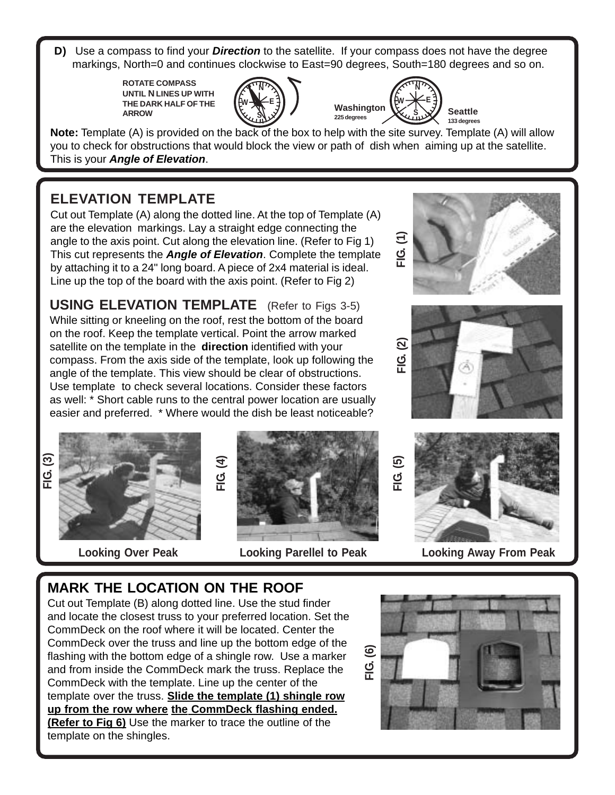**D)** Use a compass to find your **Direction** to the satellite. If your compass does not have the degree markings, North=0 and continues clockwise to East=90 degrees, South=180 degrees and so on.

> **ROTATE COMPASS UNTIL N LINES UP WITH THE DARK HALF OF THE** ARROW **ARROW Washington**





**Note:** Template (A) is provided on the back of the box to help with the site survey. Template (A) will allow you to check for obstructions that would block the view or path of dish when aiming up at the satellite. This is your **Angle of Elevation**.

## **ELEVATION TEMPLATE**

Cut out Template (A) along the dotted line. At the top of Template (A) are the elevation markings. Lay a straight edge connecting the angle to the axis point. Cut along the elevation line. (Refer to Fig 1) This cut represents the **Angle of Elevation**. Complete the template by attaching it to a 24" long board. A piece of 2x4 material is ideal. Line up the top of the board with the axis point. (Refer to Fig 2)

**USING ELEVATION TEMPLATE** (Refer to Figs 3-5) While sitting or kneeling on the roof, rest the bottom of the board on the roof. Keep the template vertical. Point the arrow marked satellite on the template in the **direction** identified with your compass. From the axis side of the template, look up following the angle of the template. This view should be clear of obstructions. Use template to check several locations. Consider these factors as well: \* Short cable runs to the central power location are usually easier and preferred. \* Where would the dish be least noticeable?

**FIG. (3)**







**Looking Over Peak Looking Parellel to Peak Looking Away From Peak**

## **MARK THE LOCATION ON THE ROOF**

Cut out Template (B) along dotted line. Use the stud finder and locate the closest truss to your preferred location. Set the CommDeck on the roof where it will be located. Center the CommDeck over the truss and line up the bottom edge of the flashing with the bottom edge of a shingle row. Use a marker and from inside the CommDeck mark the truss. Replace the CommDeck with the template. Line up the center of the template over the truss. **Slide the template (1) shingle row up from the row where the CommDeck flashing ended. (Refer to Fig 6)** Use the marker to trace the outline of the template on the shingles.

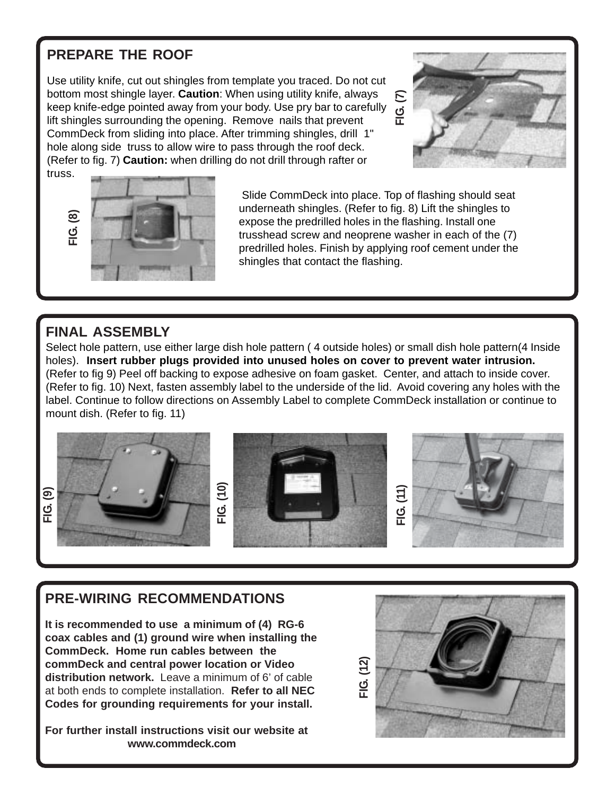#### **PREPARE THE ROOF**

Use utility knife, cut out shingles from template you traced. Do not cut bottom most shingle layer. **Caution**: When using utility knife, always keep knife-edge pointed away from your body. Use pry bar to carefully lift shingles surrounding the opening. Remove nails that prevent CommDeck from sliding into place. After trimming shingles, drill 1" hole along side truss to allow wire to pass through the roof deck. (Refer to fig. 7) **Caution:** when drilling do not drill through rafter or truss.





 Slide CommDeck into place. Top of flashing should seat underneath shingles. (Refer to fig. 8) Lift the shingles to expose the predrilled holes in the flashing. Install one trusshead screw and neoprene washer in each of the (7) predrilled holes. Finish by applying roof cement under the shingles that contact the flashing.

#### **FINAL ASSEMBLY**

Select hole pattern, use either large dish hole pattern ( 4 outside holes) or small dish hole pattern(4 Inside holes). **Insert rubber plugs provided into unused holes on cover to prevent water intrusion.** (Refer to fig 9) Peel off backing to expose adhesive on foam gasket. Center, and attach to inside cover. (Refer to fig. 10) Next, fasten assembly label to the underside of the lid. Avoid covering any holes with the label. Continue to follow directions on Assembly Label to complete CommDeck installation or continue to mount dish. (Refer to fig. 11)



#### **PRE-WIRING RECOMMENDATIONS**

**It is recommended to use a minimum of (4) RG-6 coax cables and (1) ground wire when installing the CommDeck. Home run cables between the commDeck and central power location or Video distribution network.** Leave a minimum of 6' of cable at both ends to complete installation. **Refer to all NEC Codes for grounding requirements for your install.**

**For further install instructions visit our website at www.commdeck.com**

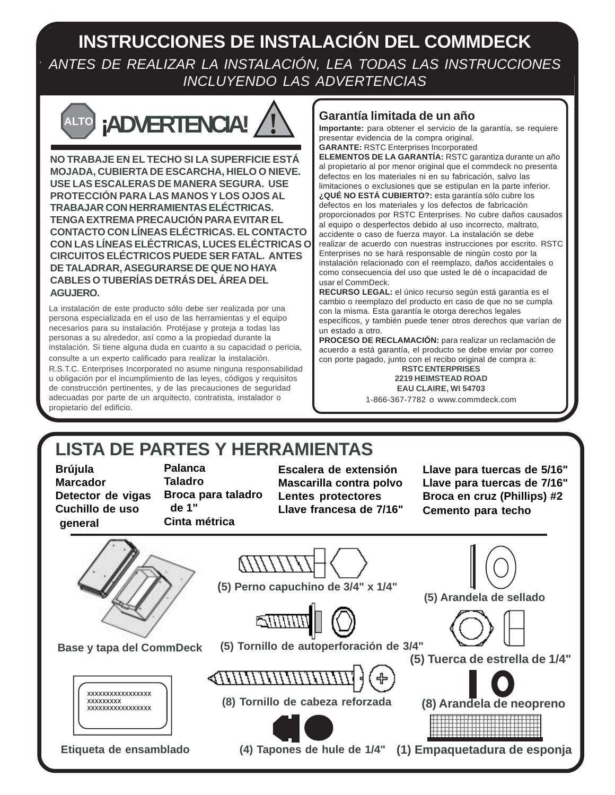## **INSTRUCCIONES DE INSTALACIÓN DEL COMMDECK** ANTES DE REALIZAR LA INSTALACIÓN, LEA TODAS LAS INSTRUCCIONES INCLUYENDO LAS ADVERTENCIAS



**NO TRABAJE EN EL TECHO SI LA SUPERFICIE ESTÁ MOJADA, CUBIERTA DE ESCARCHA, HIELO O NIEVE. USE LAS ESCALERAS DE MANERA SEGURA. USE PROTECCIÓN PARA LAS MANOS Y LOS OJOS AL TRABAJAR CON HERRAMIENTAS ELÉCTRICAS. TENGA EXTREMA PRECAUCIÓN PARA EVITAR EL CONTACTO CON LÍNEAS ELÉCTRICAS. EL CONTACTO CON LAS LÍNEAS ELÉCTRICAS, LUCES ELÉCTRICAS O CIRCUITOS ELÉCTRICOS PUEDE SER FATAL. ANTES DE TALADRAR, ASEGURARSE DE QUE NO HAYA CABLES O TUBERÍAS DETRÁS DEL ÁREA DEL AGUJERO.**

La instalación de este producto sólo debe ser realizada por una persona especializada en el uso de las herramientas y el equipo necesarios para su instalación. Protéjase y proteja a todas las personas a su alrededor, así como a la propiedad durante la instalación. Si tiene alguna duda en cuanto a su capacidad o pericia,

consulte a un experto calificado para realizar la instalación. R.S.T.C. Enterprises Incorporated no asume ninguna responsabilidad u obligación por el incumplimiento de las leyes, códigos y requisitos de construcción pertinentes, y de las precauciones de seguridad adecuadas por parte de un arquitecto, contratista, instalador o

#### **Garantía limitada de un año**

**Importante:** para obtener el servicio de la garantía, se requiere presentar evidencia de la compra original. **GARANTE:** RSTC Enterprises Incorporated

**ELEMENTOS DE LA GARANTÍA:** RSTC garantiza durante un año al propietario al por menor original que el commdeck no presenta defectos en los materiales ni en su fabricación, salvo las limitaciones o exclusiones que se estipulan en la parte inferior. **¿QUÉ NO ESTÁ CUBIERTO?:** esta garantía sólo cubre los defectos en los materiales y los defectos de fabricación proporcionados por RSTC Enterprises. No cubre daños causados al equipo o desperfectos debido al uso incorrecto, maltrato, accidente o caso de fuerza mayor. La instalación se debe realizar de acuerdo con nuestras instrucciones por escrito. RSTC Enterprises no se hará responsable de ningún costo por la instalación relacionado con el reemplazo, daños accidentales o como consecuencia del uso que usted le dé o incapacidad de usar el CommDeck.

**RECURSO LEGAL:** el único recurso según está garantía es el cambio o reemplazo del producto en caso de que no se cumpla con la misma. Esta garantía le otorga derechos legales específicos, y también puede tener otros derechos que varían de

un estado a otro. **PROCESO DE RECLAMACIÓN:** para realizar un reclamación de acuerdo a está garantía, el producto se debe enviar por correo con porte pagado, junto con el recibo original de compra a:

**RSTC ENTERPRISES 2219 HEIMSTEAD ROAD EAU CLAIRE, WI 54703**

1-866-367-7782 o www.commdeck.com

# **LISTA DE PARTES Y HERRAMIENTAS**

**Brújula Marcador Detector de vigas Cuchillo de uso general**

propietario del edificio.

**Palanca Taladro Broca para taladro de 1" Cinta métrica**

**Escalera de extensión Mascarilla contra polvo Lentes protectores Llave francesa de 7/16"**

**Llave para tuercas de 5/16" Llave para tuercas de 7/16" Broca en cruz (Phillips) #2 Cemento para techo**

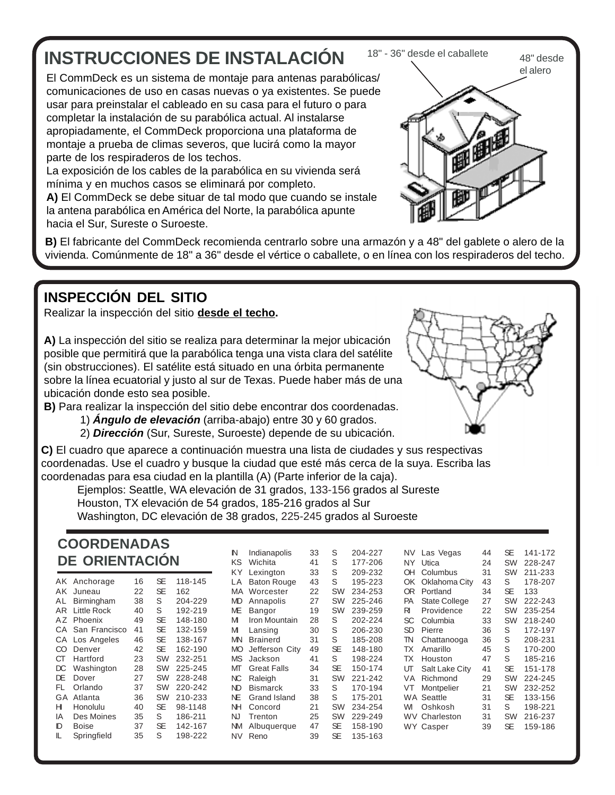# **INSTRUCCIONES DE INSTALACIÓN**

El CommDeck es un sistema de montaje para antenas parabólicas/ comunicaciones de uso en casas nuevas o ya existentes. Se puede usar para preinstalar el cableado en su casa para el futuro o para completar la instalación de su parabólica actual. Al instalarse apropiadamente, el CommDeck proporciona una plataforma de montaje a prueba de climas severos, que lucirá como la mayor parte de los respiraderos de los techos.

La exposición de los cables de la parabólica en su vivienda será mínima y en muchos casos se eliminará por completo.

**A)** El CommDeck se debe situar de tal modo que cuando se instale la antena parabólica en América del Norte, la parabólica apunte hacia el Sur, Sureste o Suroeste.



**B)** El fabricante del CommDeck recomienda centrarlo sobre una armazón y a 48" del gablete o alero de la vivienda. Comúnmente de 18" a 36" desde el vértice o caballete, o en línea con los respiraderos del techo.

#### **INSPECCIÓN DEL SITIO**

Realizar la inspección del sitio **desde el techo.**

**A)** La inspección del sitio se realiza para determinar la mejor ubicación posible que permitirá que la parabólica tenga una vista clara del satélite (sin obstrucciones). El satélite está situado en una órbita permanente sobre la línea ecuatorial y justo al sur de Texas. Puede haber más de una ubicación donde esto sea posible.

**B)** Para realizar la inspección del sitio debe encontrar dos coordenadas.

- 1) **Ángulo de elevación** (arriba-abajo) entre 30 y 60 grados.
- 2) **Dirección** (Sur, Sureste, Suroeste) depende de su ubicación.

**C)** El cuadro que aparece a continuación muestra una lista de ciudades y sus respectivas coordenadas. Use el cuadro y busque la ciudad que esté más cerca de la suya. Escriba las coordenadas para esa ciudad en la plantilla (A) (Parte inferior de la caja).

Ejemplos: Seattle, WA elevación de 31 grados, 133-156 grados al Sureste Houston, TX elevación de 54 grados, 185-216 grados al Sur

Washington, DC elevación de 38 grados, 225-245 grados al Suroeste

#### **COORDENADAS DE ORIENTACIÓN**

| AK. | Anchorage     | 16 | SE        | 118-145 |
|-----|---------------|----|-----------|---------|
| ΑK  | Juneau        | 22 | <b>SE</b> | 162     |
| AL  | Birmingham    | 38 | S         | 204-229 |
| AR  | Little Rock   | 40 | S         | 192-219 |
| AΖ  | Phoenix       | 49 | SE        | 148-180 |
| CА  | San Francisco | 41 | SE        | 132-159 |
| CA  | Los Angeles   | 46 | SE        | 138-167 |
| CO  | Denver        | 42 | SE        | 162-190 |
| СT  | Hartford      | 23 | SW        | 232-251 |
| DС  | Washington    | 28 | SW        | 225-245 |
| DF  | Dover         | 27 | SW        | 228-248 |
| FI. | Orlando       | 37 | SW        | 220-242 |
| GA  | Atlanta       | 36 | SW        | 210-233 |
| н   | Honolulu      | 40 | SE        | 98-1148 |
| ΙA  | Des Moines    | 35 | S         | 186-211 |
| D   | Boise         | 37 | SE        | 142-167 |
| IL  | Springfield   | 35 | S         | 198-222 |

| N         | Indianapolis       | 33 | S         | 204-227 |      | NV Las Vegas         | 44 | <b>SE</b> | 141 |
|-----------|--------------------|----|-----------|---------|------|----------------------|----|-----------|-----|
| ΚS        | Wichita            | 41 | S         | 177-206 | NY I | Utica                | 24 | SW        | 228 |
| KY        | Lexington          | 33 | S         | 209-232 | OH   | Columbus             | 31 | <b>SW</b> | 211 |
| LA        | <b>Baton Rouge</b> | 43 | S         | 195-223 | OK   | Oklahoma City        | 43 | S         | 178 |
| MA        | Worcester          | 22 | SW        | 234-253 | OR.  | Portland             | 34 | <b>SE</b> | 133 |
| MD.       | Annapolis          | 27 | SW        | 225-246 | PA   | <b>State College</b> | 27 | <b>SW</b> | 222 |
| МE        | Bangor             | 19 | SW        | 239-259 | RI   | Providence           | 22 | <b>SW</b> | 235 |
| М         | Iron Mountain      | 28 | S         | 202-224 | SC   | Columbia             | 33 | <b>SW</b> | 218 |
| М         | Lansing            | 30 | S         | 206-230 | SD   | Pierre               | 36 | S         | 172 |
| <b>MN</b> | <b>Brainerd</b>    | 31 | S         | 185-208 | TN   | Chattanooga          | 36 | S         | 208 |
| <b>MO</b> | Jefferson City     | 49 | SE        | 148-180 | ТX   | Amarillo             | 45 | S         | 170 |
| <b>MS</b> | Jackson            | 41 | S         | 198-224 | ТX   | Houston              | 47 | S         | 185 |
| МТ        | <b>Great Falls</b> | 34 | <b>SE</b> | 150-174 | ஶ    | Salt Lake City       | 41 | <b>SE</b> | 151 |
| NC        | Raleigh            | 31 | SW        | 221-242 | VA   | Richmond             | 29 | SW        | 224 |
| ND        | <b>Bismarck</b>    | 33 | S         | 170-194 | VT   | Montpelier           | 21 | <b>SW</b> | 232 |
| ΝE        | Grand Island       | 38 | S         | 175-201 |      | <b>WA Seattle</b>    | 31 | <b>SE</b> | 133 |
| ΝH        | Concord            | 21 | SW        | 234-254 | WI   | Oshkosh              | 31 | S         | 198 |
| NJ        | Trenton            | 25 | SW        | 229-249 |      | <b>WV Charleston</b> | 31 | <b>SW</b> | 216 |
| <b>NM</b> | Albuquerque        | 47 | <b>SE</b> | 158-190 |      | WY Casper            | 39 | <b>SE</b> | 159 |
| NV        | Reno               | 39 | SE        | 135-163 |      |                      |    |           |     |
|           |                    |    |           |         |      |                      |    |           |     |



141-172 228-247 211-233 178-207

222-243 235-254 218-240 172-197 208-231  $170 - 200$ 185-216  $151 - 178$ 224-245 232-252 133-156 198-221 216-237 159-186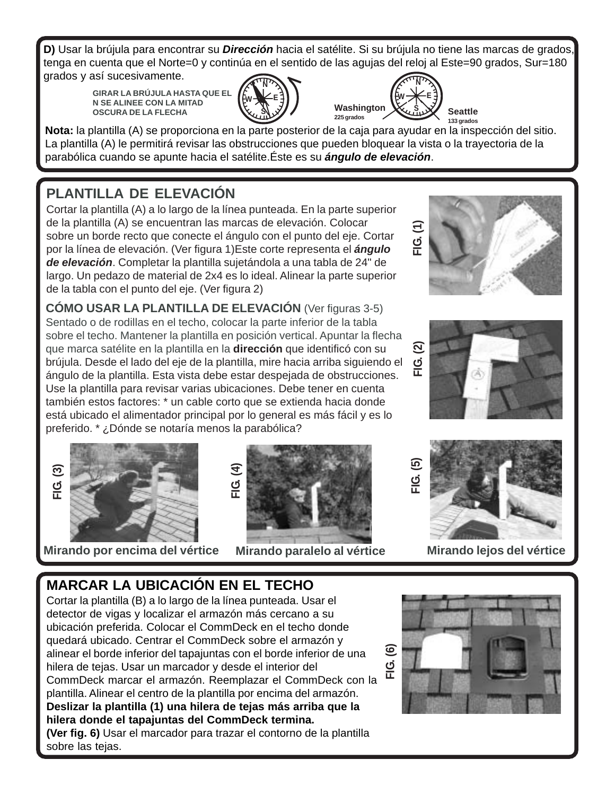**D)** Usar la brújula para encontrar su **Dirección** hacia el satélite. Si su brújula no tiene las marcas de grados, tenga en cuenta que el Norte=0 y continúa en el sentido de las agujas del reloj al Este=90 grados, Sur=180 grados y así sucesivamente.

**GIRAR LA BRÚJULA HASTA QUE EL N SE ALINEE CON LA MITAD OSCURA DE LA FLECHA**





**Nota:** la plantilla (A) se proporciona en la parte posterior de la caja para ayudar en la inspección del sitio. La plantilla (A) le permitirá revisar las obstrucciones que pueden bloquear la vista o la trayectoria de la parabólica cuando se apunte hacia el satélite.Éste es su **ángulo de elevación**.

## **PLANTILLA DE ELEVACIÓN**

Cortar la plantilla (A) a lo largo de la línea punteada. En la parte superior de la plantilla (A) se encuentran las marcas de elevación. Colocar sobre un borde recto que conecte el ángulo con el punto del eje. Cortar por la línea de elevación. (Ver figura 1)Este corte representa el **ángulo de elevación**. Completar la plantilla sujetándola a una tabla de 24" de largo. Un pedazo de material de 2x4 es lo ideal. Alinear la parte superior de la tabla con el punto del eje. (Ver figura 2)

**CÓMO USAR LA PLANTILLA DE ELEVACIÓN** (Ver figuras 3-5) Sentado o de rodillas en el techo, colocar la parte inferior de la tabla sobre el techo. Mantener la plantilla en posición vertical. Apuntar la flecha que marca satélite en la plantilla en la **dirección** que identificó con su brújula. Desde el lado del eje de la plantilla, mire hacia arriba siguiendo el ángulo de la plantilla. Esta vista debe estar despejada de obstrucciones. Use la plantilla para revisar varias ubicaciones. Debe tener en cuenta también estos factores: \* un cable corto que se extienda hacia donde está ubicado el alimentador principal por lo general es más fácil y es lo preferido. \* ¿Dónde se notaría menos la parabólica?



**Mirando por encima del vértice Mirando paralelo al vértice Mirando lejos del vértice**









## **MARCAR LA UBICACIÓN EN EL TECHO**

Cortar la plantilla (B) a lo largo de la línea punteada. Usar el detector de vigas y localizar el armazón más cercano a su ubicación preferida. Colocar el CommDeck en el techo donde quedará ubicado. Centrar el CommDeck sobre el armazón y alinear el borde inferior del tapajuntas con el borde inferior de una hilera de tejas. Usar un marcador y desde el interior del CommDeck marcar el armazón. Reemplazar el CommDeck con la plantilla. Alinear el centro de la plantilla por encima del armazón. **Deslizar la plantilla (1) una hilera de tejas más arriba que la hilera donde el tapajuntas del CommDeck termina.**

**(Ver fig. 6)** Usar el marcador para trazar el contorno de la plantilla sobre las tejas.

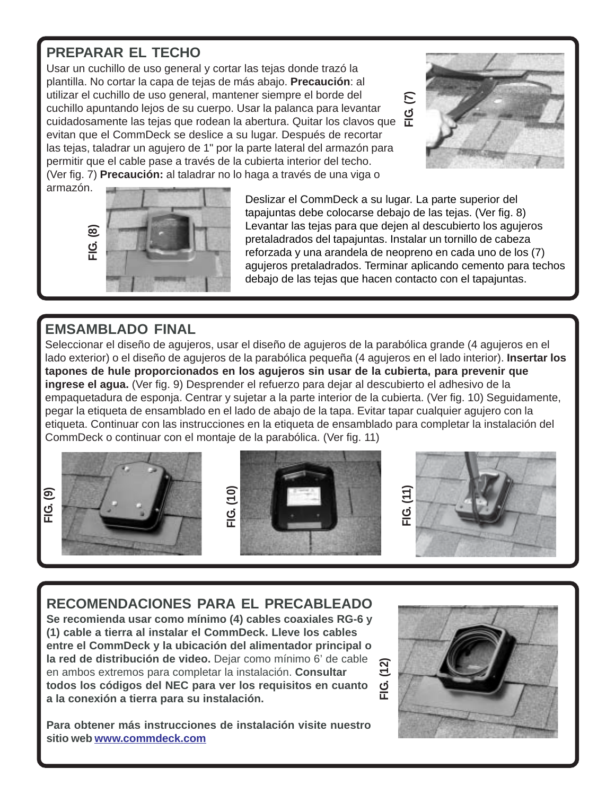#### **PREPARAR EL TECHO**

utilizar el cuchillo de uso general, mantener siempre el borde del<br>FIG. (1) cuchillo apuntando lejos de su cuerpo. Usar la palanca para levantar<br>FIG. (1) cuidadosamente las tejas que rodean la abertura. Quitar los clavos q Usar un cuchillo de uso general y cortar las tejas donde trazó la plantilla. No cortar la capa de tejas de más abajo. **Precaución**: al cuchillo apuntando lejos de su cuerpo. Usar la palanca para levantar cuidadosamente las tejas que rodean la abertura. Quitar los clavos que evitan que el CommDeck se deslice a su lugar. Después de recortar las tejas, taladrar un agujero de 1" por la parte lateral del armazón para permitir que el cable pase a través de la cubierta interior del techo. (Ver fig. 7) **Precaución:** al taladrar no lo haga a través de una viga o



armazón.



Deslizar el CommDeck a su lugar. La parte superior del tapajuntas debe colocarse debajo de las tejas. (Ver fig. 8) Levantar las tejas para que dejen al descubierto los agujeros pretaladrados del tapajuntas. Instalar un tornillo de cabeza reforzada y una arandela de neopreno en cada uno de los (7) agujeros pretaladrados. Terminar aplicando cemento para techos debajo de las tejas que hacen contacto con el tapajuntas.

#### **EMSAMBLADO FINAL**

Seleccionar el diseño de agujeros, usar el diseño de agujeros de la parabólica grande (4 agujeros en el lado exterior) o el diseño de agujeros de la parabólica pequeña (4 agujeros en el lado interior). **Insertar los tapones de hule proporcionados en los agujeros sin usar de la cubierta, para prevenir que ingrese el agua.** (Ver fig. 9) Desprender el refuerzo para dejar al descubierto el adhesivo de la empaquetadura de esponja. Centrar y sujetar a la parte interior de la cubierta. (Ver fig. 10) Seguidamente, pegar la etiqueta de ensamblado en el lado de abajo de la tapa. Evitar tapar cualquier agujero con la etiqueta. Continuar con las instrucciones en la etiqueta de ensamblado para completar la instalación del CommDeck o continuar con el montaje de la parabólica. (Ver fig. 11)









#### **RECOMENDACIONES PARA EL PRECABLEADO**

**Se recomienda usar como mínimo (4) cables coaxiales RG-6 y (1) cable a tierra al instalar el CommDeck. Lleve los cables entre el CommDeck y la ubicación del alimentador principal o la red de distribución de video.** Dejar como mínimo 6' de cable en ambos extremos para completar la instalación. **Consultar todos los códigos del NEC para ver los requisitos en cuanto a la conexión a tierra para su instalación.**

**Para obtener más instrucciones de instalación visite nuestro sitio web www.commdeck.com**

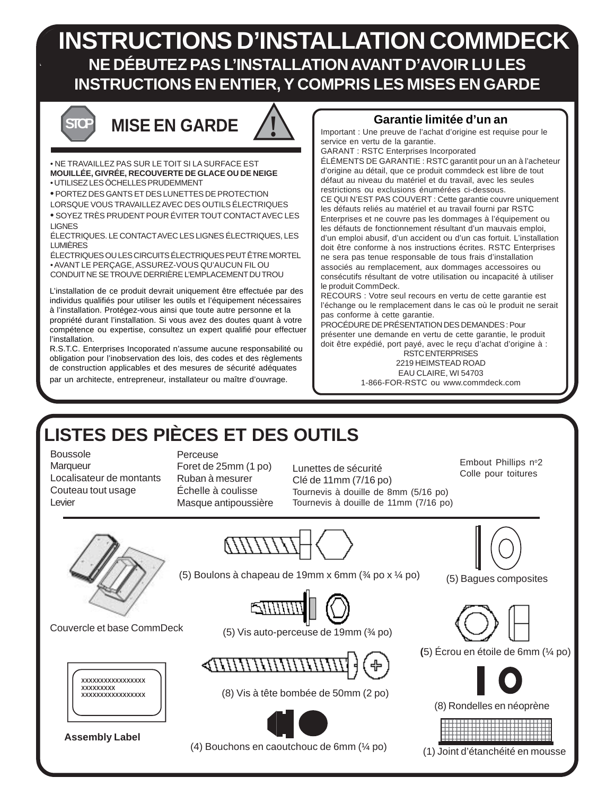## **INSTRUCTIONS D'INSTALLATION COMMDECK NE DÉBUTEZ PAS L'INSTALLATION AVANT D'AVOIR LU LES INSTRUCTIONS EN ENTIER, Y COMPRIS LES MISES EN GARDE**

# **MISE EN GARDE**

• NE TRAVAILLEZ PAS SUR LE TOIT SI LA SURFACE EST **MOUILLÉE, GIVRÉE, RECOUVERTE DE GLACE OU DE NEIGE** • UTILISEZ LES ÖCHELLES PRUDEMMENT

**•** PORTEZ DES GANTS ET DES LUNETTES DE PROTECTION

LORSQUE VOUS TRAVAILLEZ AVEC DES OUTILS ÉLECTRIQUES

**•** SOYEZ TRÈS PRUDENT POUR ÉVITER TOUT CONTACT AVEC LES LIGNES

ÉLECTRIQUES. LE CONTACT AVEC LES LIGNES ÉLECTRIQUES, LES LUMIÈRES

ÉLECTRIQUES OU LES CIRCUITS ÉLECTRIQUES PEUT ÊTRE MORTEL • AVANT LE PERÇAGE, ASSUREZ-VOUS QU'AUCUN FIL OU CONDUIT NE SE TROUVE DERRIÈRE L'EMPLACEMENT DU TROU

L'installation de ce produit devrait uniquement être effectuée par des individus qualifiés pour utiliser les outils et l'équipement nécessaires à l'installation. Protégez-vous ainsi que toute autre personne et la propriété durant l'installation. Si vous avez des doutes quant à votre compétence ou expertise, consultez un expert qualifié pour effectuer l'installation.

R.S.T.C. Enterprises Incoporated n'assume aucune responsabilité ou obligation pour l'inobservation des lois, des codes et des règlements de construction applicables et des mesures de sécurité adéquates par un architecte, entrepreneur, installateur ou maître d'ouvrage.

#### **Garantie limitée d'un an**

Important : Une preuve de l'achat d'origine est requise pour le service en vertu de la garantie.

GARANT : RSTC Enterprises Incorporated ÉLÉMENTS DE GARANTIE : RSTC garantit pour un an à l'acheteur d'origine au détail, que ce produit commdeck est libre de tout défaut au niveau du matériel et du travail, avec les seules restrictions ou exclusions énumérées ci-dessous. CE QUI N'EST PAS COUVERT : Cette garantie couvre uniquement les défauts reliés au matériel et au travail fourni par RSTC Enterprises et ne couvre pas les dommages à l'équipement ou les défauts de fonctionnement résultant d'un mauvais emploi, d'un emploi abusif, d'un accident ou d'un cas fortuit. L'installation doit être conforme à nos instructions écrites. RSTC Enterprises ne sera pas tenue responsable de tous frais d'installation associés au remplacement, aux dommages accessoires ou consécutifs résultant de votre utilisation ou incapacité à utiliser le produit CommDeck.

RECOURS : Votre seul recours en vertu de cette garantie est l'échange ou le remplacement dans le cas où le produit ne serait pas conforme à cette garantie.

PROCÉDURE DE PRÉSENTATION DES DEMANDES : Pour présenter une demande en vertu de cette garantie, le produit doit être expédié, port payé, avec le reçu d'achat d'origine à :

RSTC ENTERPRISES 2219 HEIMSTEAD ROAD EAU CLAIRE, WI 54703 1-866-FOR-RSTC ou www.commdeck.com

# **LISTES DES PIÈCES ET DES OUTILS**

Boussole

**Marqueur** Localisateur de montants Couteau tout usage Levier

**Perceuse** 

Foret de 25mm (1 po) Ruban à mesurer Échelle à coulisse Masque antipoussière

Lunettes de sécurité Clé de 11mm (7/16 po) Tournevis à douille de 8mm (5/16 po) Tournevis à douille de 11mm (7/16 po)

Embout Phillips n°2 Colle pour toitures

(5) Bagues composites

12345678901234567890123456789 12345678901234567890123456789 12345678901234567890123456789 1 9 12345678901234567890123456789 12345678901234567890123456789

(1) Joint d'étanchéité en mousse

(8) Rondelles en néoprène

**(**5) Écrou en étoile de 6mm (¼ po)



(5) Boulons à chapeau de 19mm x 6mm  $(34 \text{ po} \times 14 \text{ po})$ 



Couvercle et base CommDeck



**Assembly Label**

(5) Vis auto-perceuse de 19mm (¾ po)



(8) Vis à tête bombée de 50mm (2 po)



(4) Bouchons en caoutchouc de 6mm (¼ po)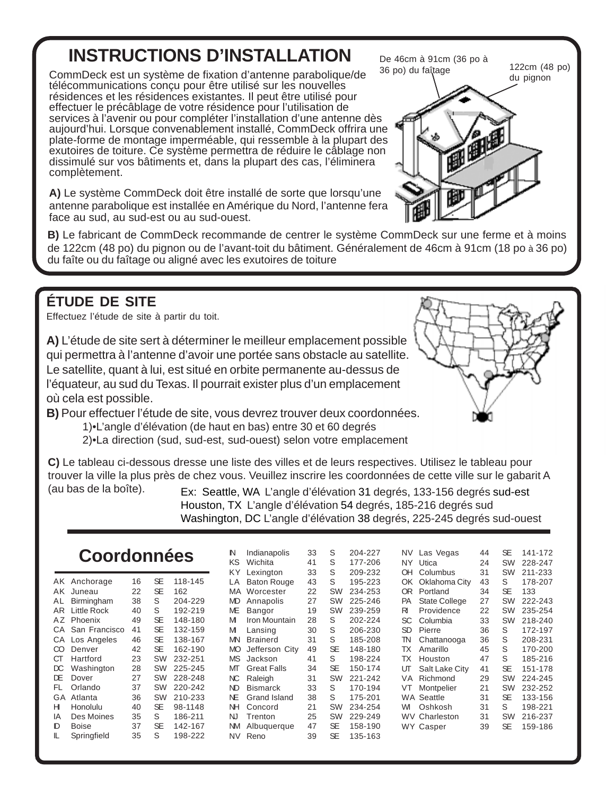# **INSTRUCTIONS D'INSTALLATION**

CommDeck est un système de fixation d'antenne parabolique/de télécommunications conçu pour être utilisé sur les nouvelles résidences et les résidences existantes. Il peut être utilisé pour effectuer le précâblage de votre résidence pour l'utilisation de services à l'avenir ou pour compléter l'installation d'une antenne dès aujourd'hui. Lorsque convenablement installé, CommDeck offrira une plate-forme de montage imperméable, qui ressemble à la plupart des exutoires de toiture. Ce système permettra de réduire le câblage non dissimulé sur vos bâtiments et, dans la plupart des cas, l'éliminera complètement.

**A)** Le système CommDeck doit être installé de sorte que lorsqu'une antenne parabolique est installée en Amérique du Nord, l'antenne fera face au sud, au sud-est ou au sud-ouest.

De 46cm à 91cm (36 po à 36 po) du faîtage 122cm (48 po) du pignon

**B)** Le fabricant de CommDeck recommande de centrer le système CommDeck sur une ferme et à moins de 122cm (48 po) du pignon ou de l'avant-toit du bâtiment. Généralement de 46cm à 91cm (18 po à 36 po) du faîte ou du faîtage ou aligné avec les exutoires de toiture

#### **ÉTUDE DE SITE**

Effectuez l'étude de site à partir du toit.

**A)** L'étude de site sert à déterminer le meilleur emplacement possible qui permettra à l'antenne d'avoir une portée sans obstacle au satellite. Le satellite, quant à lui, est situé en orbite permanente au-dessus de l'équateur, au sud du Texas. Il pourrait exister plus d'un emplacement où cela est possible.

**B)** Pour effectuer l'étude de site, vous devrez trouver deux coordonnées.

1)•L'angle d'élévation (de haut en bas) entre 30 et 60 degrés

2)•La direction (sud, sud-est, sud-ouest) selon votre emplacement

**C)** Le tableau ci-dessous dresse une liste des villes et de leurs respectives. Utilisez le tableau pour trouver la ville la plus près de chez vous. Veuillez inscrire les coordonnées de cette ville sur le gabarit A (au bas de la boîte). Ex: Seattle, WA L'angle d'élévation 31 degrés, 133-156 degrés sud-est

Houston, TX L'angle d'élévation 54 degrés, 185-216 degrés sud Washington, DC L'angle d'élévation 38 degrés, 225-245 degrés sud-ouest

## **Coordonnées**

| AΚ | Anchorage          | 16 | SE        | 118-145 |
|----|--------------------|----|-----------|---------|
| AΚ | Juneau             | 22 | SE        | 162     |
| AL | Birmingham         | 38 | S         | 204-229 |
| AR | <b>Little Rock</b> | 40 | S         | 192-219 |
| ΑZ | Phoenix            | 49 | SE        | 148-180 |
| CA | San Francisco      | 41 | SE        | 132-159 |
| СA | Los Angeles        | 46 | <b>SE</b> | 138-167 |
| CO | Denver             | 42 | SE        | 162-190 |
| CТ | Hartford           | 23 | SW        | 232-251 |
| DС | Washington         | 28 | SW        | 225-245 |
| DE | Dover              | 27 | SW        | 228-248 |
| FL | Orlando            | 37 | SW        | 220-242 |
| GA | Atlanta            | 36 | SW        | 210-233 |
| н  | Honolulu           | 40 | SE        | 98-1148 |
| IA | Des Moines         | 35 | S         | 186-211 |
| D  | Boise              | 37 | SE        | 142-167 |
| IL | Springfield        | 35 | S         | 198-222 |

| N         | Indianapolis       | 33 | S         | 204-227 | NV.       | Las Vegas            | 44 | SE        | 141-172 |
|-----------|--------------------|----|-----------|---------|-----------|----------------------|----|-----------|---------|
| ΚS        | Wichita            | 41 | S         | 177-206 | NY.       | Utica                | 24 | <b>SW</b> | 228-247 |
| ΚY        | Lexington          | 33 | S         | 209-232 | OH        | Columbus             | 31 | SW        | 211-233 |
| LA        | <b>Baton Rouge</b> | 43 | S         | 195-223 | OK.       | Oklahoma City        | 43 | S         | 178-207 |
| МA        | Worcester          | 22 | <b>SW</b> | 234-253 | OR.       | Portland             | 34 | <b>SE</b> | 133     |
| MD        | Annapolis          | 27 | <b>SW</b> | 225-246 | <b>PA</b> | <b>State College</b> | 27 | <b>SW</b> | 222-243 |
| МE        | Bangor             | 19 | <b>SW</b> | 239-259 | RI        | Providence           | 22 | <b>SW</b> | 235-254 |
| М         | Iron Mountain      | 28 | S         | 202-224 | SC        | Columbia             | 33 | <b>SW</b> | 218-240 |
| М         | Lansing            | 30 | S         | 206-230 | <b>SD</b> | Pierre               | 36 | S         | 172-197 |
| <b>MN</b> | <b>Brainerd</b>    | 31 | S         | 185-208 | TN        | Chattanooga          | 36 | S         | 208-231 |
| MО        | Jefferson City     | 49 | <b>SE</b> | 148-180 | ТX        | Amarillo             | 45 | S         | 170-200 |
| <b>MS</b> | Jackson            | 41 | S         | 198-224 | ТX        | Houston              | 47 | S         | 185-216 |
| МТ        | <b>Great Falls</b> | 34 | <b>SE</b> | 150-174 | ஶ         | Salt Lake City       | 41 | <b>SE</b> | 151-178 |
| NC.       | Raleigh            | 31 | SW        | 221-242 | <b>VA</b> | Richmond             | 29 | <b>SW</b> | 224-245 |
| ND        | <b>Bismarck</b>    | 33 | S         | 170-194 | VT        | Montpelier           | 21 | <b>SW</b> | 232-252 |
| NE        | Grand Island       | 38 | S         | 175-201 |           | <b>WA Seattle</b>    | 31 | <b>SE</b> | 133-156 |
| NΗ        | Concord            | 21 | <b>SW</b> | 234-254 | WI        | Oshkosh              | 31 | S         | 198-221 |
| NJ        | Trenton            | 25 | <b>SW</b> | 229-249 |           | <b>WV Charleston</b> | 31 | <b>SW</b> | 216-237 |
| ΝM        | Albuquerque        | 47 | <b>SE</b> | 158-190 |           | <b>WY Casper</b>     | 39 | SE        | 159-186 |
| NV        | Reno               | 39 | <b>SE</b> | 135-163 |           |                      |    |           |         |
|           |                    |    |           |         |           |                      |    |           |         |



| NY        | Utica                | 24 | SW | 228-247 |
|-----------|----------------------|----|----|---------|
| OН        | Columbus             | 31 | SW | 211-233 |
| ОK        | Oklahoma City        | 43 | S  | 178-207 |
| OR        | Portland             | 34 | SE | 133     |
| РA        | <b>State College</b> | 27 | SW | 222-243 |
| RI        | Providence           | 22 | SW | 235-254 |
| SC        | Columbia             | 33 | SW | 218-240 |
| <b>SD</b> | Pierre               | 36 | S  | 172-197 |
| TN        | Chattanooga          | 36 | S  | 208-231 |
| TX        | Amarillo             | 45 | S  | 170-200 |
| <b>TX</b> | Houston              | 47 | S  | 185-216 |
| ஶ         | Salt Lake City       | 41 | SE | 151-178 |
| VA        | Richmond             | 29 | SW | 224-245 |
| VT        | Montpelier           | 21 | SW | 232-252 |
|           | <b>WA Seattle</b>    | 31 | SE | 133-156 |
| WI        | Oshkosh              | 31 | S  | 198-221 |
|           | <b>WV Charleston</b> | 31 | SW | 216-237 |
| WY.       | Casper               | 39 | SE | 159-186 |
|           |                      |    |    |         |
|           |                      |    |    |         |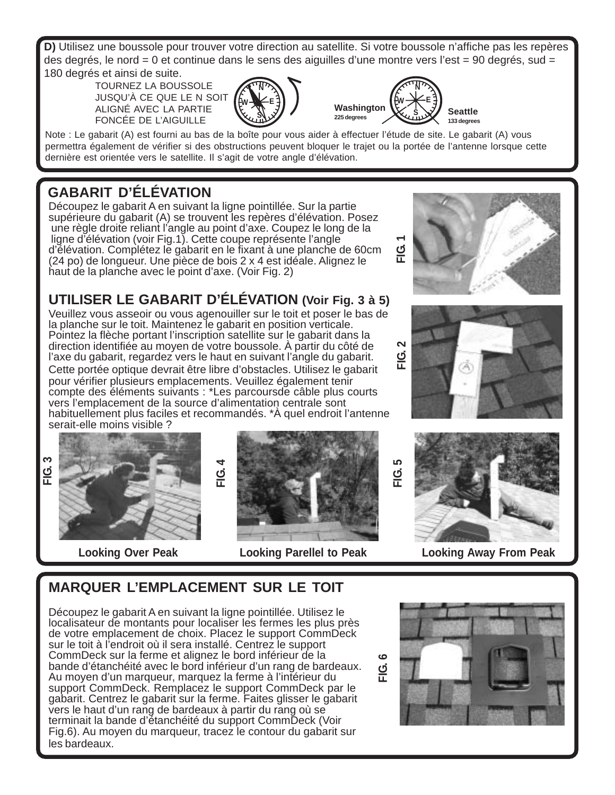**D)** Utilisez une boussole pour trouver votre direction au satellite. Si votre boussole n'affiche pas les repères des degrés, le nord = 0 et continue dans le sens des aiguilles d'une montre vers l'est = 90 degrés, sud = 180 degrés et ainsi de suite.

TOURNEZ LA BOUSSOLE JUSQU'À CE QUE LE N SOIT ALIGNÉ AVEC LA PARTIE FONCÉE DE L'AIGUILLE





Note : Le gabarit (A) est fourni au bas de la boîte pour vous aider à effectuer l'étude de site. Le gabarit (A) vous permettra également de vérifier si des obstructions peuvent bloquer le trajet ou la portée de l'antenne lorsque cette dernière est orientée vers le satellite. Il s'agit de votre angle d'élévation.

## **GABARIT D'ÉLÉVATION**

Découpez le gabarit A en suivant la ligne pointillée. Sur la partie supérieure du gabarit (A) se trouvent les repères d'élévation. Posez une règle droite reliant l'angle au point d'axe. Coupez le long de la ligne d'élévation (voir Fig.1). Cette coupe représente l'angle d'élévation. Complétez le gabarit en le fixant à une planche de 60cm (24 po) de longueur. Une pièce de bois 2 x 4 est idéale. Alignez le haut de la planche avec le point d'axe. (Voir Fig. 2)

#### **UTILISER LE GABARIT D'ÉLÉVATION (Voir Fig. 3 à 5)**

Veuillez vous asseoir ou vous agenouiller sur le toit et poser le bas de la planche sur le toit. Maintenez le gabarit en position verticale. Pointez la flèche portant l'inscription satellite sur le gabarit dans la direction identifiée au moyen de votre boussole. À partir du côté de l'axe du gabarit, regardez vers le haut en suivant l'angle du gabarit. Cette portée optique devrait être libre d'obstacles. Utilisez le gabarit pour vérifier plusieurs emplacements. Veuillez également tenir compte des éléments suivants : \*Les parcoursde câble plus courts vers l'emplacement de la source d'alimentation centrale sont habituellement plus faciles et recommandés. \*À quel endroit l'antenne serait-elle moins visible ?

**FIG. 3**





**Looking Over Peak Looking Parellel to Peak Looking Away From Peak**



## **MARQUER L'EMPLACEMENT SUR LE TOIT**

Découpez le gabarit A en suivant la ligne pointillée. Utilisez le localisateur de montants pour localiser les fermes les plus près de votre emplacement de choix. Placez le support CommDeck sur le toit à l'endroit où il sera installé. Centrez le support CommDeck sur la ferme et alignez le bord inférieur de la bande d'étanchéité avec le bord inférieur d'un rang de bardeaux. Au moyen d'un marqueur, marquez la ferme à l'intérieur du support CommDeck. Remplacez le support CommDeck par le gabarit. Centrez le gabarit sur la ferme. Faites glisser le gabarit vers le haut d'un rang de bardeaux à partir du rang où se terminait la bande d'étanchéité du support CommDeck (Voir Fig.6). Au moyen du marqueur, tracez le contour du gabarit sur les bardeaux.

**FIG. 6**

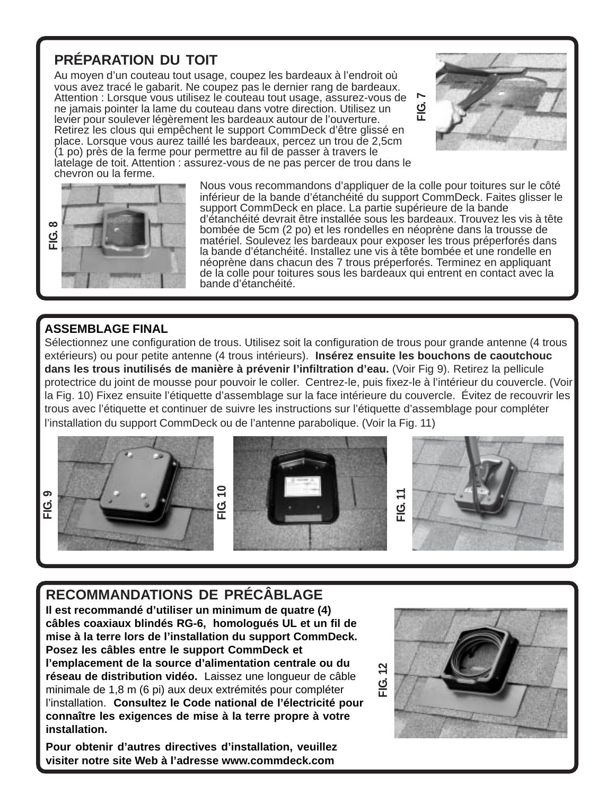#### **PRÉPARATION DU TOIT**

Au moyen d'un couteau tout usage, coupez les bardeaux à l'endroit où vous avez tracé le gabarit. Ne coupez pas le dernier rang de bardeaux. Attention : Lorsque vous utilisez le couteau tout usage, assurez-vous de ne jamais pointer la lame du couteau dans votre direction. Utilisez un levier pour soulever légèrement les bardeaux autour de l'ouverture. Retirez les clous qui empêchent le support CommDeck d'être glissé en place. Lorsque vous aurez taillé les bardeaux, percez un trou de 2,5cm (1 po) près de la ferme pour permettre au fil de passer à travers le latelage de toit. Attention : assurez-vous de ne pas percer de trou dans le chevron ou la ferme.





Nous vous recommandons d'appliquer de la colle pour toitures sur le côté inférieur de la bande d'étanchéité du support CommDeck. Faites glisser le support CommDeck en place. La partie supérieure de la bande d'étanchéité devrait être installée sous les bardeaux. Trouvez les vis à tête bombée de 5cm (2 po) et les rondelles en néoprène dans la trousse de matériel. Soulevez les bardeaux pour exposer les trous préperforés dans la bande d'étanchéité. Installez une vis à tête bombée et une rondelle en néoprène dans chacun des 7 trous préperforés. Terminez en appliquant de la colle pour toitures sous les bardeaux qui entrent en contact avec la bande d'étanchéité.

#### **ASSEMBLAGE FINAL**

Sélectionnez une configuration de trous. Utilisez soit la configuration de trous pour grande antenne (4 trous extérieurs) ou pour petite antenne (4 trous intérieurs). **Insérez ensuite les bouchons de caoutchouc dans les trous inutilisés de manière à prévenir l'infiltration d'eau.** (Voir Fig 9). Retirez la pellicule protectrice du joint de mousse pour pouvoir le coller. Centrez-le, puis fixez-le à l'intérieur du couvercle. (Voir la Fig. 10) Fixez ensuite l'étiquette d'assemblage sur la face intérieure du couvercle. Évitez de recouvrir les trous avec l'étiquette et continuer de suivre les instructions sur l'étiquette d'assemblage pour compléter l'installation du support CommDeck ou de l'antenne parabolique. (Voir la Fig. 11)









#### **RECOMMANDATIONS DE PRÉCÂBLAGE**

**Il est recommandé d'utiliser un minimum de quatre (4) câbles coaxiaux blindés RG-6, homologués UL et un fil de mise à la terre lors de l'installation du support CommDeck. Posez les câbles entre le support CommDeck et l'emplacement de la source d'alimentation centrale ou du réseau de distribution vidéo.** Laissez une longueur de câble minimale de 1,8 m (6 pi) aux deux extrémités pour compléter l'installation. **Consultez le Code national de l'électricité pour connaître les exigences de mise à la terre propre à votre installation.**

**FIG. 10**

**Pour obtenir d'autres directives d'installation, veuillez visiter notre site Web à l'adresse www.commdeck.com**

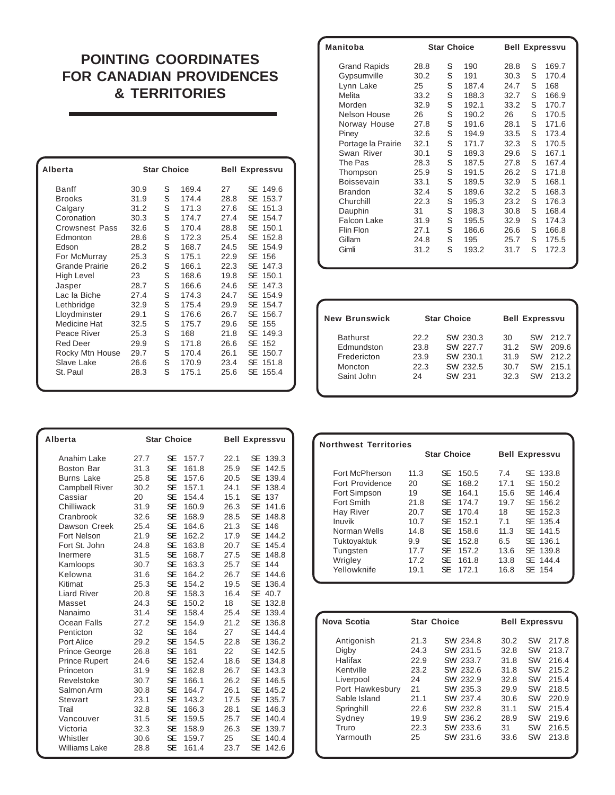#### **POINTING COORDINATES FOR CANADIAN PROVIDENCES & TERRITORIES**

| Alberta               |      | <b>Star Choice</b> |       |      | <b>Bell Expressvu</b> |
|-----------------------|------|--------------------|-------|------|-----------------------|
| <b>Banff</b>          | 30.9 | S                  | 169.4 | 27   | SE 149.6              |
| <b>Brooks</b>         | 31.9 | S                  | 174.4 | 28.8 | SE<br>153.7           |
| Calgary               | 31.2 | S                  | 171.3 | 27.6 | SE<br>151.3           |
| Coronation            | 30.3 | S                  | 174.7 | 27.4 | SE<br>154.7           |
| <b>Crowsnest Pass</b> | 32.6 | S                  | 170.4 | 28.8 | SE<br>150.1           |
| Edmonton              | 28.6 | S                  | 172.3 | 25.4 | SE<br>152.8           |
| Edson                 | 28.2 | S                  | 168.7 | 24.5 | SE<br>154.9           |
| For McMurray          | 25.3 | S                  | 175.1 | 22.9 | SE 156                |
| <b>Grande Prairie</b> | 26.2 | S                  | 166.1 | 22.3 | SE<br>147.3           |
| <b>High Level</b>     | 23   | S                  | 168.6 | 19.8 | SE<br>150.1           |
| Jasper                | 28.7 | S                  | 166.6 | 24.6 | SE<br>147.3           |
| Lac la Biche          | 27.4 | S                  | 174.3 | 24.7 | SE<br>154.9           |
| Lethbridge            | 32.9 | S                  | 175.4 | 29.9 | SE<br>154.7           |
| Lloydminster          | 29.1 | S                  | 176.6 | 26.7 | SE<br>156.7           |
| Medicine Hat          | 32.5 | S                  | 175.7 | 29.6 | SE<br>155             |
| Peace River           | 25.3 | S                  | 168   | 21.8 | SE<br>149.3           |
| <b>Red Deer</b>       | 29.9 | S                  | 171.8 | 26.6 | SE 152                |
| Rocky Mtn House       | 29.7 | S                  | 170.4 | 26.1 | SE<br>150.7           |
| Slave Lake            | 26.6 | S                  | 170.9 | 23.4 | SE<br>151.8           |
| St. Paul              | 28.3 | S                  | 175.1 | 25.6 | SE<br>155.4           |
|                       |      |                    |       |      |                       |

| Manitoba            |      | <b>Star Choice</b> |       |      |   | <b>Bell Expressvu</b> |
|---------------------|------|--------------------|-------|------|---|-----------------------|
| <b>Grand Rapids</b> | 28.8 | S                  | 190   | 28.8 | S | 169.7                 |
| Gypsumville         | 30.2 | S                  | 191   | 30.3 | S | 170.4                 |
| Lynn Lake           | 25   | S                  | 187.4 | 24.7 | S | 168                   |
| Melita              | 33.2 | S                  | 188.3 | 32.7 | S | 166.9                 |
| Morden              | 32.9 | S                  | 192.1 | 33.2 | S | 170.7                 |
| Nelson House        | 26   | S                  | 190.2 | 26   | S | 170.5                 |
| Norway House        | 27.8 | S                  | 191.6 | 28.1 | S | 171.6                 |
| Piney               | 32.6 | S                  | 194.9 | 33.5 | S | 173.4                 |
| Portage la Prairie  | 32.1 | S                  | 171.7 | 32.3 | S | 170.5                 |
| Swan River          | 30.1 | S                  | 189.3 | 29.6 | S | 167.1                 |
| The Pas             | 28.3 | S                  | 187.5 | 27.8 | S | 167.4                 |
| Thompson            | 25.9 | S                  | 191.5 | 26.2 | S | 171.8                 |
| Boissevain          | 33.1 | S                  | 189.5 | 32.9 | S | 168.1                 |
| <b>Brandon</b>      | 32.4 | S                  | 189.6 | 32.2 | S | 168.3                 |
| Churchill           | 22.3 | S                  | 195.3 | 23.2 | S | 176.3                 |
| Dauphin             | 31   | S                  | 198.3 | 30.8 | S | 168.4                 |
| <b>Falcon Lake</b>  | 31.9 | S                  | 195.5 | 32.9 | S | 174.3                 |
| Flin Flon           | 27.1 | S                  | 186.6 | 26.6 | S | 166.8                 |
| Gillam              | 24.8 | S                  | 195   | 25.7 | S | 175.5                 |
| Gimli               | 31.2 | S                  | 193.2 | 31.7 | S | 172.3                 |
|                     |      |                    |       |      |   |                       |

| <b>New Brunswick</b> |      | <b>Star Choice</b> |      | <b>Bell Expressvu</b> |       |
|----------------------|------|--------------------|------|-----------------------|-------|
| <b>Bathurst</b>      | 22.2 | SW 230.3           | 30   | SW                    | 212.7 |
| Edmundston           | 23.8 | SW 227.7           | 31.2 | <b>SW</b>             | 209.6 |
| Fredericton          | 23.9 | SW 230.1           | 31.9 | SW                    | 212.2 |
| Moncton              | 22.3 | SW 232.5           | 30.7 | SW                    | 215.1 |
| Saint John           | 24   | SW 231             | 32.3 | SW                    | 213.2 |

| Alberta                                                                                                                                                                                                                                                                           |                                                                                                                                                    | <b>Star Choice</b>                                                                                                                                                                                                                                                                                                                                                                                                         | <b>Bell Expressvu</b>                                                                                                                                                                                                                                                                                                                                                                                                                                                                                                                                                         |  |  |
|-----------------------------------------------------------------------------------------------------------------------------------------------------------------------------------------------------------------------------------------------------------------------------------|----------------------------------------------------------------------------------------------------------------------------------------------------|----------------------------------------------------------------------------------------------------------------------------------------------------------------------------------------------------------------------------------------------------------------------------------------------------------------------------------------------------------------------------------------------------------------------------|-------------------------------------------------------------------------------------------------------------------------------------------------------------------------------------------------------------------------------------------------------------------------------------------------------------------------------------------------------------------------------------------------------------------------------------------------------------------------------------------------------------------------------------------------------------------------------|--|--|
| Anahim Lake<br><b>Boston Bar</b><br><b>Burns Lake</b><br><b>Campbell River</b><br>Cassiar<br>Chilliwack<br>Cranbrook<br>Dawson Creek<br>Fort Nelson<br>Fort St. John<br>Inermere<br>Kamloops                                                                                      | 27.7<br>31.3<br>25.8<br>30.2<br>20<br>31.9<br>32.6<br>25.4<br>21.9<br>24.8<br>31.5<br>30.7                                                         | SE<br>157.7<br><b>SE</b><br>161.8<br><b>SE</b><br>157.6<br><b>SE</b><br>157.1<br><b>SE</b><br>154.4<br><b>SE</b><br>160.9<br><b>SE</b><br>168.9<br><b>SE</b><br>164.6<br><b>SE</b><br>162.2<br><b>SE</b><br>163.8<br><b>SE</b><br>168.7<br><b>SE</b><br>163.3                                                                                                                                                              | SE<br>139.3<br>22.1<br><b>SE</b><br>25.9<br>142.5<br><b>SE</b><br>20.5<br>139.4<br><b>SE</b><br>24.1<br>138.4<br><b>SE</b><br>15.1<br>137<br><b>SE</b><br>26.3<br>141.6<br><b>SE</b><br>148.8<br>28.5<br><b>SE</b><br>21.3<br>146<br><b>SE</b><br>17.9<br>144.2<br><b>SE</b><br>20.7<br>145.4<br><b>SE</b><br>27.5<br>148.8<br><b>SE</b><br>144<br>25.7                                                                                                                                                                                                                       |  |  |
| Kelowna<br>Kitimat<br><b>Liard River</b><br>Masset<br>Nanaimo<br>Ocean Falls<br>Penticton<br>Port Alice<br><b>Prince George</b><br><b>Prince Rupert</b><br>Princeton<br>Revelstoke<br>Salmon Arm<br><b>Stewart</b><br>Trail<br>Vancouver<br>Victoria<br>Whistler<br>Williams Lake | 31.6<br>25.3<br>20.8<br>24.3<br>31.4<br>27.2<br>32<br>29.2<br>26.8<br>24.6<br>31.9<br>30.7<br>30.8<br>23.1<br>32.8<br>31.5<br>32.3<br>30.6<br>28.8 | <b>SE</b><br>164.2<br><b>SE</b><br>154.2<br><b>SE</b><br>158.3<br><b>SE</b><br>150.2<br><b>SE</b><br>158.4<br><b>SE</b><br>154.9<br><b>SE</b><br>164<br><b>SE</b><br>154.5<br><b>SE</b><br>161<br><b>SE</b><br>152.4<br><b>SE</b><br>162.8<br><b>SE</b><br>166.1<br><b>SE</b><br>164.7<br><b>SE</b><br>143.2<br><b>SE</b><br>166.3<br><b>SE</b><br>159.5<br><b>SE</b><br>158.9<br><b>SE</b><br>159.7<br><b>SE</b><br>161.4 | <b>SE</b><br>26.7<br>144.6<br><b>SE</b><br>19.5<br>136.4<br><b>SE</b><br>16.4<br>40.7<br><b>SE</b><br>18<br>132.8<br><b>SE</b><br>25.4<br>139.4<br>21.2<br><b>SE</b><br>136.8<br><b>SE</b><br>144.4<br>27<br>22.8<br><b>SE</b><br>136.2<br><b>SE</b><br>22<br>142.5<br><b>SE</b><br>18.6<br>134.8<br><b>SE</b><br>26.7<br>143.3<br><b>SE</b><br>26.2<br>146.5<br><b>SE</b><br>26.1<br>145.2<br><b>SE</b><br>17.5<br>135.7<br><b>SE</b><br>146.3<br>28.1<br><b>SE</b><br>25.7<br>140.4<br><b>SE</b><br>26.3<br>139.7<br><b>SE</b><br>140.4<br>25<br><b>SE</b><br>23.7<br>142.6 |  |  |

| <b>Northwest Territories</b> |      |                    |                       |          |  |  |  |  |
|------------------------------|------|--------------------|-----------------------|----------|--|--|--|--|
|                              |      | <b>Star Choice</b> | <b>Bell Expressvu</b> |          |  |  |  |  |
| Fort McPherson               | 11.3 | SE<br>150.5        | 7.4                   | SE 133.8 |  |  |  |  |
| Fort Providence              | 20   | SE.<br>168.2       | 17.1                  | SE 150.2 |  |  |  |  |
| Fort Simpson                 | 19   | <b>SE</b><br>164.1 | 15.6                  | SE 146.4 |  |  |  |  |
| Fort Smith                   | 21.8 | SE.<br>174.7       | 19.7                  | SE 156.2 |  |  |  |  |
| <b>Hay River</b>             | 20.7 | SE.<br>170.4       | 18                    | SE 152.3 |  |  |  |  |
| Inuvik                       | 10.7 | SF<br>152.1        | 7.1                   | SE 135.4 |  |  |  |  |
| Norman Wells                 | 14.8 | SE.<br>158.6       | 11.3                  | SE 141.5 |  |  |  |  |
| Tuktoyaktuk                  | 9.9  | SE.<br>152.8       | 6.5                   | SE 136.1 |  |  |  |  |
| Tungsten                     | 17.7 | <b>SE</b><br>157.2 | 13.6                  | SE 139.8 |  |  |  |  |
| Wrigley                      | 17.2 | <b>SE</b><br>161.8 | 13.8                  | SE 144.4 |  |  |  |  |
| Yellowknife                  | 19.1 | SF<br>172.1        | 16.8                  | SE 154   |  |  |  |  |
|                              |      |                    |                       |          |  |  |  |  |

| Nova Scotia     | <b>Star Choice</b> |          | <b>Bell Expressvu</b> |           |       |
|-----------------|--------------------|----------|-----------------------|-----------|-------|
| Antigonish      | 21.3               | SW 234.8 | 30.2                  | SW        | 217.8 |
| Digby           | 24.3               | SW 231.5 | 32.8                  | <b>SW</b> | 213.7 |
| Halifax         | 22.9               | SW 233.7 | 31.8                  | <b>SW</b> | 216.4 |
| Kentville       | 23.2               | SW 232.6 | 31.8                  | <b>SW</b> | 215.2 |
| Liverpool       | 24                 | SW 232.9 | 32.8                  | <b>SW</b> | 215.4 |
| Port Hawkesbury | 21                 | SW 235.3 | 29.9                  | <b>SW</b> | 218.5 |
| Sable Island    | 21.1               | SW 237.4 | 30.6                  | <b>SW</b> | 220.9 |
| Springhill      | 22.6               | SW 232.8 | 31.1                  | <b>SW</b> | 215.4 |
| Sydney          | 19.9               | SW 236.2 | 28.9                  | <b>SW</b> | 219.6 |
| Truro           | 22.3               | SW 233.6 | 31                    | <b>SW</b> | 216.5 |
| Yarmouth        | 25                 | SW 231.6 | 33.6                  | SW        | 213.8 |
|                 |                    |          |                       |           |       |